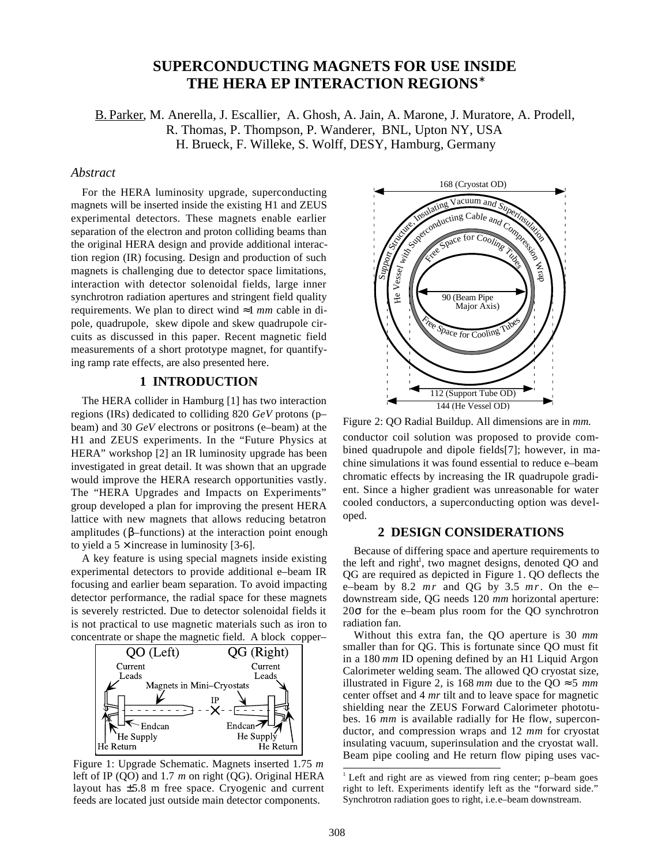# **SUPERCONDUCTING MAGNETS FOR USE INSIDE THE HERA EP INTERACTION REGIONS**<sup>∗</sup>

B. Parker, M. Anerella, J. Escallier, A. Ghosh, A. Jain, A. Marone, J. Muratore, A. Prodell, R. Thomas, P. Thompson, P. Wanderer, BNL, Upton NY, USA H. Brueck, F. Willeke, S. Wolff, DESY, Hamburg, Germany

## *Abstract*

For the HERA luminosity upgrade, superconducting magnets will be inserted inside the existing H1 and ZEUS experimental detectors. These magnets enable earlier separation of the electron and proton colliding beams than the original HERA design and provide additional interaction region (IR) focusing. Design and production of such magnets is challenging due to detector space limitations, interaction with detector solenoidal fields, large inner synchrotron radiation apertures and stringent field quality requirements. We plan to direct wind ≈1 *mm* cable in dipole, quadrupole, skew dipole and skew quadrupole circuits as discussed in this paper. Recent magnetic field measurements of a short prototype magnet, for quantifying ramp rate effects, are also presented here.

## **1 INTRODUCTION**

The HERA collider in Hamburg [1] has two interaction regions (IRs) dedicated to colliding 820 *GeV* protons (p– beam) and 30 *GeV* electrons or positrons (e–beam) at the H1 and ZEUS experiments. In the "Future Physics at HERA" workshop [2] an IR luminosity upgrade has been investigated in great detail. It was shown that an upgrade would improve the HERA research opportunities vastly. The "HERA Upgrades and Impacts on Experiments" group developed a plan for improving the present HERA lattice with new magnets that allows reducing betatron amplitudes (β–functions) at the interaction point enough to yield a  $5 \times$  increase in luminosity [3-6].

A key feature is using special magnets inside existing experimental detectors to provide additional e–beam IR focusing and earlier beam separation. To avoid impacting detector performance, the radial space for these magnets is severely restricted. Due to detector solenoidal fields it is not practical to use magnetic materials such as iron to concentrate or shape the magnetic field. A block copper–



Figure 1: Upgrade Schematic. Magnets inserted 1.75 *m* left of IP (QO) and 1.7 *m* on right (QG). Original HERA layout has ±5.8 m free space. Cryogenic and current feeds are located just outside main detector components.



Figure 2: QO Radial Buildup. All dimensions are in *mm.* conductor coil solution was proposed to provide combined quadrupole and dipole fields[7]; however, in machine simulations it was found essential to reduce e–beam chromatic effects by increasing the IR quadrupole gradient. Since a higher gradient was unreasonable for water cooled conductors, a superconducting option was developed.

#### **2 DESIGN CONSIDERATIONS**

Because of differing space and aperture requirements to the left and right<sup>1</sup>, two magnet designs, denoted QO and QG are required as depicted in Figure 1. QO deflects the e–beam by 8.2 *mr* and QG by 3.5 *mr*. On the e– downstream side, QG needs 120 *mm* horizontal aperture:  $20\sigma$  for the e–beam plus room for the QO synchrotron radiation fan.

Without this extra fan, the QO aperture is 30 *mm* smaller than for QG. This is fortunate since QO must fit in a 180 *mm* ID opening defined by an H1 Liquid Argon Calorimeter welding seam. The allowed QO cryostat size, illustrated in Figure 2, is  $168 \, \text{mm}$  due to the QO  $\approx 5 \, \text{mm}$ center offset and 4 *mr* tilt and to leave space for magnetic shielding near the ZEUS Forward Calorimeter phototubes. 16 *mm* is available radially for He flow, superconductor, and compression wraps and 12 *mm* for cryostat insulating vacuum, superinsulation and the cryostat wall. Beam pipe cooling and He return flow piping uses vac-

<sup>&</sup>lt;sup>1</sup> Left and right are as viewed from ring center; p-beam goes right to left. Experiments identify left as the "forward side." Synchrotron radiation goes to right, i.e.e-beam downstream.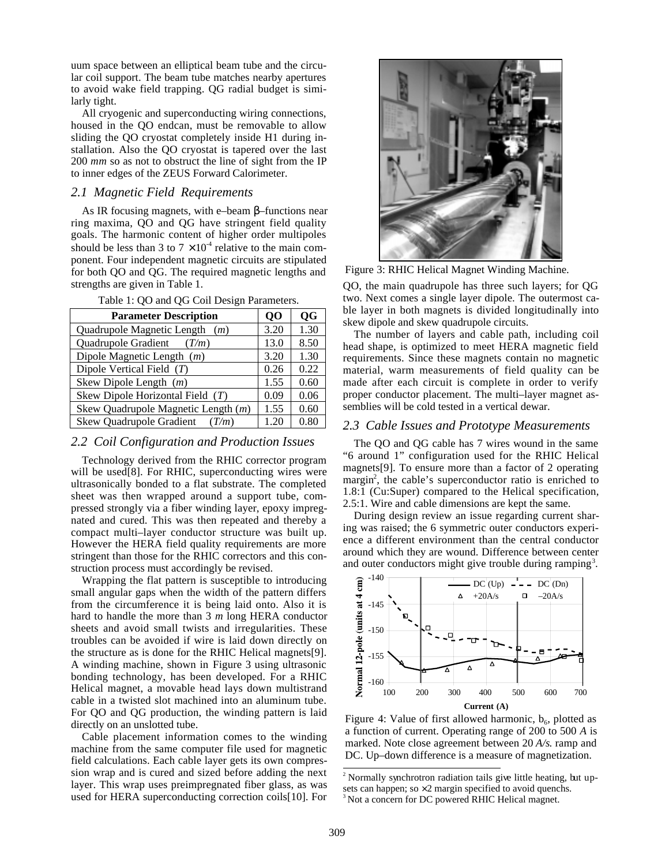uum space between an elliptical beam tube and the circular coil support. The beam tube matches nearby apertures to avoid wake field trapping. QG radial budget is similarly tight.

All cryogenic and superconducting wiring connections, housed in the QO endcan, must be removable to allow sliding the QO cryostat completely inside H1 during installation. Also the QO cryostat is tapered over the last 200 *mm* so as not to obstruct the line of sight from the IP to inner edges of the ZEUS Forward Calorimeter.

#### *2.1 Magnetic Field Requirements*

As IR focusing magnets, with e–beam β–functions near ring maxima, QO and QG have stringent field quality goals. The harmonic content of higher order multipoles should be less than 3 to  $7 \times 10^4$  relative to the main component. Four independent magnetic circuits are stipulated for both QO and QG. The required magnetic lengths and strengths are given in Table 1.

| <b>Parameter Description</b>        | 00   | <b>QG</b> |
|-------------------------------------|------|-----------|
| Quadrupole Magnetic Length $(m)$    | 3.20 | 1.30      |
| Quadrupole Gradient $(T/m)$         | 13.0 | 8.50      |
| Dipole Magnetic Length $(m)$        | 3.20 | 1.30      |
| Dipole Vertical Field $(T)$         | 0.26 | 0.22      |
| Skew Dipole Length $(m)$            | 1.55 | 0.60      |
| Skew Dipole Horizontal Field $(T)$  | 0.09 | 0.06      |
| Skew Quadrupole Magnetic Length (m) | 1.55 | 0.60      |
| Skew Quadrupole Gradient $(T/m)$    | 1.20 | 0.80      |

Table 1: QO and QG Coil Design Parameters.

#### *2.2 Coil Configuration and Production Issues*

Technology derived from the RHIC corrector program will be used[8]. For RHIC, superconducting wires were ultrasonically bonded to a flat substrate. The completed sheet was then wrapped around a support tube, compressed strongly via a fiber winding layer, epoxy impregnated and cured. This was then repeated and thereby a compact multi–layer conductor structure was built up. However the HERA field quality requirements are more stringent than those for the RHIC correctors and this construction process must accordingly be revised.

Wrapping the flat pattern is susceptible to introducing small angular gaps when the width of the pattern differs from the circumference it is being laid onto. Also it is hard to handle the more than 3 *m* long HERA conductor sheets and avoid small twists and irregularities. These troubles can be avoided if wire is laid down directly on the structure as is done for the RHIC Helical magnets[9]. A winding machine, shown in Figure 3 using ultrasonic bonding technology, has been developed. For a RHIC Helical magnet, a movable head lays down multistrand cable in a twisted slot machined into an aluminum tube. For QO and QG production, the winding pattern is laid directly on an unslotted tube.

Cable placement information comes to the winding machine from the same computer file used for magnetic field calculations. Each cable layer gets its own compression wrap and is cured and sized before adding the next layer. This wrap uses preimpregnated fiber glass, as was used for HERA superconducting correction coils[10]. For



Figure 3: RHIC Helical Magnet Winding Machine.

QO, the main quadrupole has three such layers; for QG two. Next comes a single layer dipole. The outermost cable layer in both magnets is divided longitudinally into skew dipole and skew quadrupole circuits.

The number of layers and cable path, including coil head shape, is optimized to meet HERA magnetic field requirements. Since these magnets contain no magnetic material, warm measurements of field quality can be made after each circuit is complete in order to verify proper conductor placement. The multi–layer magnet assemblies will be cold tested in a vertical dewar.

#### *2.3 Cable Issues and Prototype Measurements*

The QO and QG cable has 7 wires wound in the same "6 around 1" configuration used for the RHIC Helical magnets[9]. To ensure more than a factor of 2 operating margin<sup>2</sup>, the cable's superconductor ratio is enriched to 1.8:1 (Cu:Super) compared to the Helical specification, 2.5:1. Wire and cable dimensions are kept the same.

During design review an issue regarding current sharing was raised; the 6 symmetric outer conductors experience a different environment than the central conductor around which they are wound. Difference between center and outer conductors might give trouble during ramping<sup>3</sup>.



Figure 4: Value of first allowed harmonic,  $b_6$ , plotted as a function of current. Operating range of 200 to 500 *A* is marked. Note close agreement between 20 *A/s*. ramp and DC. Up–down difference is a measure of magnetization.

 $2$ <sup>2</sup> Normally synchrotron radiation tails give little heating, but upsets can happen; so  $\times$  2 margin specified to avoid quenchs.